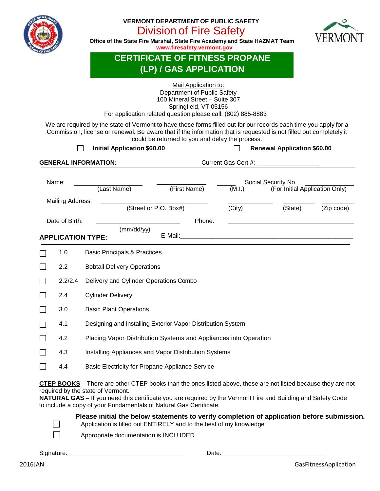

### **VERMONT DEPARTMENT OF PUBLIC SAFETY** Division of Fire Safety



**Office of the State Fire Marshal, State Fire Academy and State HAZMAT Team [www.firesafety.vermont.gov](http://www.vtfiresafety.org/)**

#### **CERTIFICATE OF FITNESS PROPANE (LP) / GAS APPLICATION**

| Mail Application to:<br>Department of Public Safety<br>100 Mineral Street - Suite 307<br>Springfield, VT 05156<br>For application related question please call: (802) 885-8883<br>We are required by the state of Vermont to have these forms filled out for our records each time you apply for a<br>Commission, license or renewal. Be aware that if the information that is requested is not filled out completely it<br>could be returned to you and delay the process.<br><b>Initial Application \$60.00</b><br><b>Renewal Application \$60.00</b><br>$\overline{\phantom{0}}$ |         |                                                                  |                                         |        |                                                       |            |  |  |
|-------------------------------------------------------------------------------------------------------------------------------------------------------------------------------------------------------------------------------------------------------------------------------------------------------------------------------------------------------------------------------------------------------------------------------------------------------------------------------------------------------------------------------------------------------------------------------------|---------|------------------------------------------------------------------|-----------------------------------------|--------|-------------------------------------------------------|------------|--|--|
| <b>GENERAL INFORMATION:</b><br>Current Gas Cert #:                                                                                                                                                                                                                                                                                                                                                                                                                                                                                                                                  |         |                                                                  |                                         |        |                                                       |            |  |  |
| Name:<br>Mailing Address:                                                                                                                                                                                                                                                                                                                                                                                                                                                                                                                                                           |         | (Last Name)                                                      | (First Name)                            | (M.I.) | Social Security No.<br>(For Initial Application Only) |            |  |  |
|                                                                                                                                                                                                                                                                                                                                                                                                                                                                                                                                                                                     |         |                                                                  | (Street or P.O. Box#)                   | (City) | (State)                                               | (Zip code) |  |  |
| Date of Birth:<br>Phone:                                                                                                                                                                                                                                                                                                                                                                                                                                                                                                                                                            |         |                                                                  |                                         |        |                                                       |            |  |  |
| (mm/dd/yy)<br>E-Mail:<br><b>APPLICATION TYPE:</b><br><u> 1989 - Johann Harry Marie Barn, maritan amerikan basar dan bagi dan basa dalam basa dan basa dan bagi dan basa</u>                                                                                                                                                                                                                                                                                                                                                                                                         |         |                                                                  |                                         |        |                                                       |            |  |  |
|                                                                                                                                                                                                                                                                                                                                                                                                                                                                                                                                                                                     | 1.0     |                                                                  | <b>Basic Principals &amp; Practices</b> |        |                                                       |            |  |  |
|                                                                                                                                                                                                                                                                                                                                                                                                                                                                                                                                                                                     | 2.2     | <b>Bobtail Delivery Operations</b>                               |                                         |        |                                                       |            |  |  |
|                                                                                                                                                                                                                                                                                                                                                                                                                                                                                                                                                                                     | 2.2/2.4 | Delivery and Cylinder Operations Combo                           |                                         |        |                                                       |            |  |  |
|                                                                                                                                                                                                                                                                                                                                                                                                                                                                                                                                                                                     | 2.4     | <b>Cylinder Delivery</b>                                         |                                         |        |                                                       |            |  |  |
|                                                                                                                                                                                                                                                                                                                                                                                                                                                                                                                                                                                     | 3.0     | <b>Basic Plant Operations</b>                                    |                                         |        |                                                       |            |  |  |
|                                                                                                                                                                                                                                                                                                                                                                                                                                                                                                                                                                                     | 4.1     | Designing and Installing Exterior Vapor Distribution System      |                                         |        |                                                       |            |  |  |
|                                                                                                                                                                                                                                                                                                                                                                                                                                                                                                                                                                                     | 4.2     | Placing Vapor Distribution Systems and Appliances into Operation |                                         |        |                                                       |            |  |  |
|                                                                                                                                                                                                                                                                                                                                                                                                                                                                                                                                                                                     | 4.3     | Installing Appliances and Vapor Distribution Systems             |                                         |        |                                                       |            |  |  |
|                                                                                                                                                                                                                                                                                                                                                                                                                                                                                                                                                                                     | 4.4     | Basic Electricity for Propane Appliance Service                  |                                         |        |                                                       |            |  |  |

**CTEP BOOKS** – There are other CTEP books than the ones listed above, these are not listed because they are not required by the state of Vermont.

**NATURAL GAS** – If you need this certificate you are required by the Vermont Fire and Building and Safety Code to include a copy of your Fundamentals of Natural Gas Certificate.

**Please initial the below statements to verify completion of application before submission.**

| Application is filled out ENTIRELY and to the best of my knowledge |  |
|--------------------------------------------------------------------|--|
|                                                                    |  |

Appropriate documentation is INCLUDED

Signature: Date:

 $\Box$  $\Box$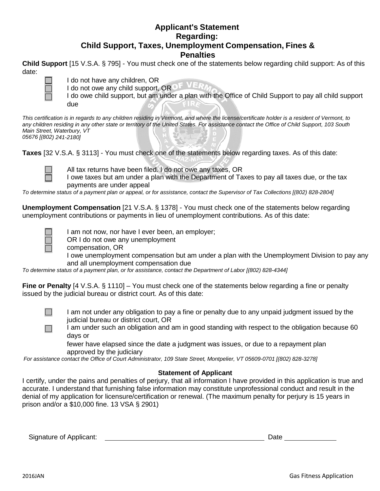#### **Applicant's Statement Regarding: Child Support, Taxes, Unemployment Compensation, Fines & Penalties**

**Child Support** [15 V.S.A. § 795] - You must check one of the statements below regarding child support: As of this date:



I do not have any children, OR I do not owe any child support, OROF VER

I do owe child support, but am under a plan with the Office of Child Support to pay all child support due

*This certification is in regards to any children residing in Vermont, and where the license/certificate holder is a resident of Vermont, to any children residing in any other state or territory of the United States. For assistance contact the Office of Child Support, 103 South Main Street, Waterbury, VT 05676 [(802) 241-2180]*

**Taxes** [32 V.S.A. § 3113] - You must check one of the statements below regarding taxes. As of this date:



All tax returns have been filed. I do not owe any taxes, OR

I owe taxes but am under a plan with the Department of Taxes to pay all taxes due, or the tax payments are under appeal

*To determine status of a payment plan or appeal, or for assistance, contact the Supervisor of Tax Collections [(802) 828-2804]*

**Unemployment Compensation** [21 V.S.A. § 1378] - You must check one of the statements below regarding unemployment contributions or payments in lieu of unemployment contributions. As of this date:

 $\Box$ 

 $\Box$ 

I am not now, nor have I ever been, an employer;

OR I do not owe any unemployment

compensation, OR

I owe unemployment compensation but am under a plan with the Unemployment Division to pay any and all unemployment compensation due

*To determine status of a payment plan, or for assistance, contact the Department of Labor [(802) 828-4344]*

**Fine or Penalty** [4 V.S.A. § 1110] – You must check one of the statements below regarding a fine or penalty issued by the judicial bureau or district court. As of this date:

> I am not under any obligation to pay a fine or penalty due to any unpaid judgment issued by the judicial bureau or district court, OR

I am under such an obligation and am in good standing with respect to the obligation because 60 days or

fewer have elapsed since the date a judgment was issues, or due to a repayment plan approved by the judiciary

*For assistance contact the Office of Court Administrator, 109 State Street, Montpelier, VT 05609-0701 [(802) 828-3278]*

#### **Statement of Applicant**

I certify, under the pains and penalties of perjury, that all information I have provided in this application is true and accurate. I understand that furnishing false information may constitute unprofessional conduct and result in the denial of my application for licensure/certification or renewal. (The maximum penalty for perjury is 15 years in prison and/or a \$10,000 fine. 13 VSA § 2901)

Signature of Applicant:  $\qquad \qquad$  Date  $\qquad$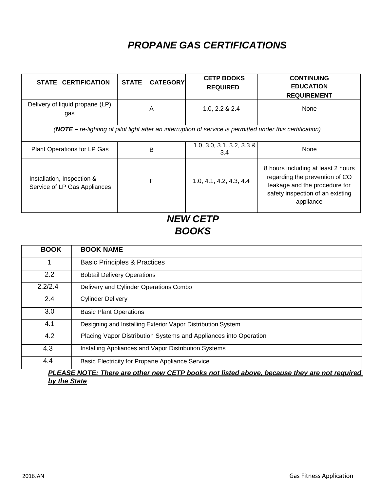# *PROPANE GAS CERTIFICATIONS*

| <b>STATE CERTIFICATION</b>                                                                                   | <b>STATE</b> | <b>CATEGORY</b> | <b>CETP BOOKS</b><br><b>REQUIRED</b> | <b>CONTINUING</b><br><b>EDUCATION</b><br><b>REQUIREMENT</b>                                                                                            |  |  |
|--------------------------------------------------------------------------------------------------------------|--------------|-----------------|--------------------------------------|--------------------------------------------------------------------------------------------------------------------------------------------------------|--|--|
| Delivery of liquid propane (LP)<br>gas                                                                       | A            |                 | 1.0, 2.2 & 2.4                       | None                                                                                                                                                   |  |  |
| $(NOTE - re-lighting of pilot light after an interruption of service is permitted under this certification)$ |              |                 |                                      |                                                                                                                                                        |  |  |
| Plant Operations for LP Gas                                                                                  |              | в               | $1.0, 3.0, 3.1, 3.2, 3.3$ &<br>3.4   | None                                                                                                                                                   |  |  |
| Installation, Inspection &<br>Service of LP Gas Appliances                                                   |              | F               | 1.0, 4.1, 4.2, 4.3, 4.4              | 8 hours including at least 2 hours<br>regarding the prevention of CO<br>leakage and the procedure for<br>safety inspection of an existing<br>appliance |  |  |

## *NEW CETP BOOKS*

| <b>BOOK</b> | <b>BOOK NAME</b>                                                 |
|-------------|------------------------------------------------------------------|
|             | <b>Basic Principles &amp; Practices</b>                          |
| 2.2         | <b>Bobtail Delivery Operations</b>                               |
| 2.2/2.4     | Delivery and Cylinder Operations Combo                           |
| 2.4         | <b>Cylinder Delivery</b>                                         |
| 3.0         | <b>Basic Plant Operations</b>                                    |
| 4.1         | Designing and Installing Exterior Vapor Distribution System      |
| 4.2         | Placing Vapor Distribution Systems and Appliances into Operation |
| 4.3         | Installing Appliances and Vapor Distribution Systems             |
| 4.4         | Basic Electricity for Propane Appliance Service                  |

*PLEASE NOTE: There are other new CETP books not listed above, because they are not required by the State*